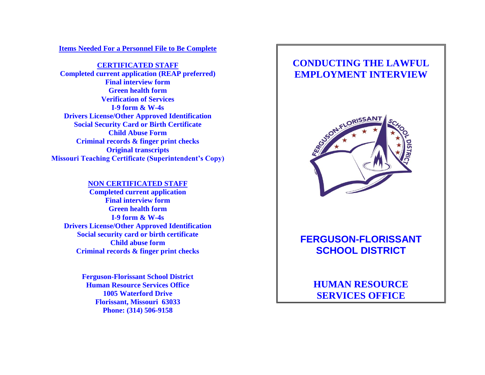**Items Needed For a Personnel File to Be Complete**

**CERTIFICATED STAFF Completed current application (REAP preferred) Final interview form Green health form Verification of Services I-9 form & W-4s Drivers License/Other Approved Identification Social Security Card or Birth Certificate Child Abuse Form Criminal records & finger print checks Original transcripts Missouri Teaching Certificate (Superintendent's Copy)**

#### **NON CERTIFICATED STAFF**

**Completed current application Final interview form Green health form I-9 form & W-4s Drivers License/Other Approved Identification Social security card or birth certificate Child abuse form Criminal records & finger print checks**

> **Ferguson-Florissant School District Human Resource Services Office 1005 Waterford Drive Florissant, Missouri 63033 Phone: (314) 506-9158**

## **CONDUCTING THE LAWFUL EMPLOYMENT INTERVIEW**



# **FERGUSON-FLORISSANT SCHOOL DISTRICT**

**HUMAN RESOURCE SERVICES OFFICE**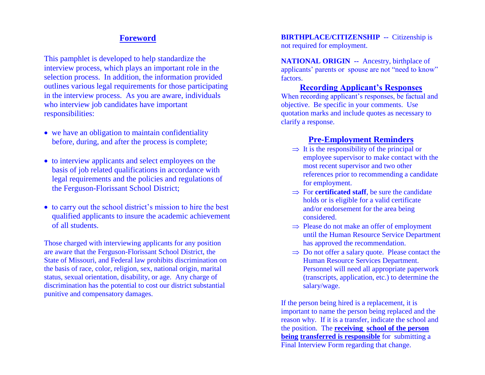### **Foreword**

This pamphlet is developed to help standardize the interview process, which plays an important role in the selection process. In addition, the information provided outlines various legal requirements for those participating in the interview process. As you are aware, individuals who interview job candidates have important responsibilities:

- we have an obligation to maintain confidentiality before, during, and after the process is complete;
- to interview applicants and select employees on the basis of job related qualifications in accordance with legal requirements and the policies and regulations of the Ferguson-Florissant School District;
- to carry out the school district's mission to hire the best qualified applicants to insure the academic achievement of all students.

Those charged with interviewing applicants for any position are aware that the Ferguson-Florissant School District, the State of Missouri, and Federal law prohibits discrimination on the basis of race, color, religion, sex, national origin, marital status, sexual orientation, disability, or age. Any charge of discrimination has the potential to cost our district substantial punitive and compensatory damages.

**BIRTHPLACE/CITIZENSHIP --** Citizenship is not required for employment.

**NATIONAL ORIGIN -- Ancestry, birthplace of** applicants' parents or spouse are not "need to know" factors.

#### **Recording Applicant's Responses**

When recording applicant's responses, be factual and objective. Be specific in your comments. Use quotation marks and include quotes as necessary to clarify a response.

#### **Pre-Employment Reminders**

- $\Rightarrow$  It is the responsibility of the principal or employee supervisor to make contact with the most recent supervisor and two other references prior to recommending a candidate for employment.
- $\Rightarrow$  For **certificated staff**, be sure the candidate holds or is eligible for a valid certificate and/or endorsement for the area being considered.
- $\Rightarrow$  Please do not make an offer of employment until the Human Resource Service Department has approved the recommendation.
- $\Rightarrow$  Do not offer a salary quote. Please contact the Human Resource Services Department. Personnel will need all appropriate paperwork (transcripts, application, etc.) to determine the salary/wage.

If the person being hired is a replacement, it is important to name the person being replaced and the reason why. If it is a transfer, indicate the school and the position. The **receiving school of the person being transferred is responsible** for submitting a Final Interview Form regarding that change.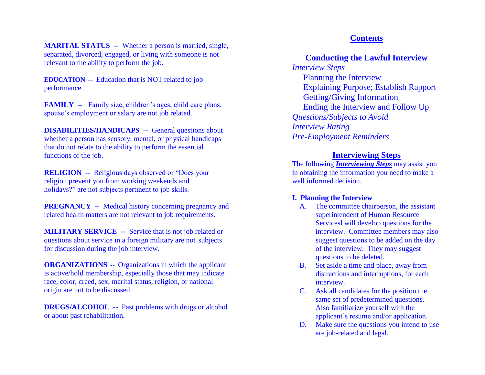**MARITAL STATUS --** Whether a person is married, single, separated, divorced, engaged, or living with someone is not relevant to the ability to perform the job.

**EDUCATION --** Education that is NOT related to job performance.

**FAMILY --** Family size, children's ages, child care plans, spouse's employment or salary are not job related.

**DISABILITIES/HANDICAPS --** General questions about whether a person has sensory, mental, or physical handicaps that do not relate to the ability to perform the essential functions of the job.

**RELIGION --** Religious days observed or "Does your religion prevent you from working weekends and holidays?" are not subjects pertinent to job skills.

**PREGNANCY** -- Medical history concerning pregnancy and related health matters are not relevant to job requirements.

**MILITARY SERVICE --** Service that is not job related or questions about service in a foreign military are not subjects for discussion during the job interview.

**ORGANIZATIONS** -- Organizations in which the applicant is active/hold membership, especially those that may indicate race, color, creed, sex, marital status, religion, or national origin are not to be discussed.

**DRUGS/ALCOHOL** -- Past problems with drugs or alcohol or about past rehabilitation.

#### **Contents**

#### **Conducting the Lawful Interview** *Interview Steps*

Planning the Interview Explaining Purpose; Establish Rapport Getting/Giving Information Ending the Interview and Follow Up *Questions/Subjects to Avoid Interview Rating Pre-Employment Reminders*

#### **Interviewing Steps**

The following *Interviewing Steps* may assist you in obtaining the information you need to make a well informed decision.

#### **I. Planning the Interview**

- A. The committee chairperson, the assistant superintendent of Human Resource Servicesl will develop questions for the interview. Committee members may also suggest questions to be added on the day of the interview. They may suggest questions to be deleted.
- B. Set aside a time and place, away from distractions and interruptions, for each interview.
- C. Ask all candidates for the position the same set of predetermined questions. Also familiarize yourself with the applicant's resume and/or application.
- D. Make sure the questions you intend to use are job-related and legal.